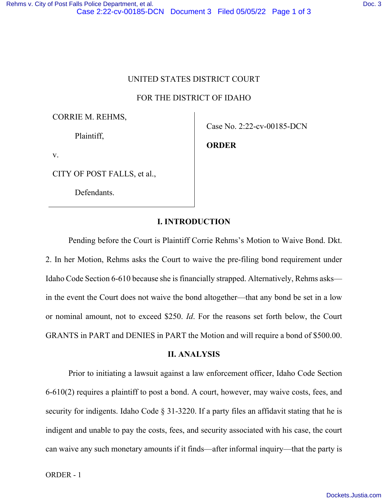FOR THE DISTRICT OF IDAHO

CORRIE M. REHMS,

Plaintiff,

v.

CITY OF POST FALLS, et al.,

Defendants.

Case No. 2:22-cv-00185-DCN

**ORDER** 

## **I. INTRODUCTION**

Pending before the Court is Plaintiff Corrie Rehms's Motion to Waive Bond. Dkt. 2. In her Motion, Rehms asks the Court to waive the pre-filing bond requirement under Idaho Code Section 6-610 because she is financially strapped. Alternatively, Rehms asks in the event the Court does not waive the bond altogether—that any bond be set in a low or nominal amount, not to exceed \$250. *Id*. For the reasons set forth below, the Court GRANTS in PART and DENIES in PART the Motion and will require a bond of \$500.00.

## **II. ANALYSIS**

Prior to initiating a lawsuit against a law enforcement officer, Idaho Code Section 6-610(2) requires a plaintiff to post a bond. A court, however, may waive costs, fees, and security for indigents. Idaho Code § 31-3220. If a party files an affidavit stating that he is indigent and unable to pay the costs, fees, and security associated with his case, the court can waive any such monetary amounts if it finds—after informal inquiry—that the party is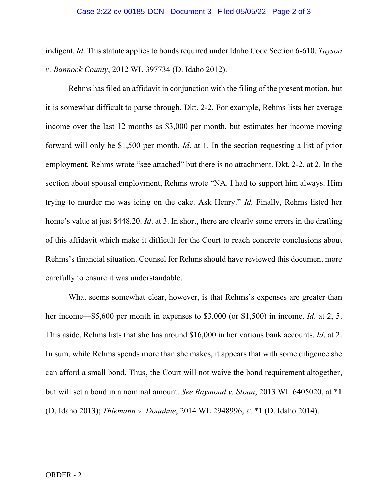## Case 2:22-cv-00185-DCN Document 3 Filed 05/05/22 Page 2 of 3

indigent. *Id*. This statute applies to bonds required under Idaho Code Section 6-610. *Tayson v. Bannock County*, 2012 WL 397734 (D. Idaho 2012).

Rehms has filed an affidavit in conjunction with the filing of the present motion, but it is somewhat difficult to parse through. Dkt. 2-2. For example, Rehms lists her average income over the last 12 months as \$3,000 per month, but estimates her income moving forward will only be \$1,500 per month. *Id*. at 1. In the section requesting a list of prior employment, Rehms wrote "see attached" but there is no attachment. Dkt. 2-2, at 2. In the section about spousal employment, Rehms wrote "NA. I had to support him always. Him trying to murder me was icing on the cake. Ask Henry." *Id.* Finally, Rehms listed her home's value at just \$448.20. *Id*. at 3. In short, there are clearly some errors in the drafting of this affidavit which make it difficult for the Court to reach concrete conclusions about Rehms's financial situation. Counsel for Rehms should have reviewed this document more carefully to ensure it was understandable.

What seems somewhat clear, however, is that Rehms's expenses are greater than her income—\$5,600 per month in expenses to \$3,000 (or \$1,500) in income. *Id*. at 2, 5. This aside, Rehms lists that she has around \$16,000 in her various bank accounts. *Id*. at 2. In sum, while Rehms spends more than she makes, it appears that with some diligence she can afford a small bond. Thus, the Court will not waive the bond requirement altogether, but will set a bond in a nominal amount. *See Raymond v. Sloan*, 2013 WL 6405020, at \*1 (D. Idaho 2013); *Thiemann v. Donahue*, 2014 WL 2948996, at \*1 (D. Idaho 2014).